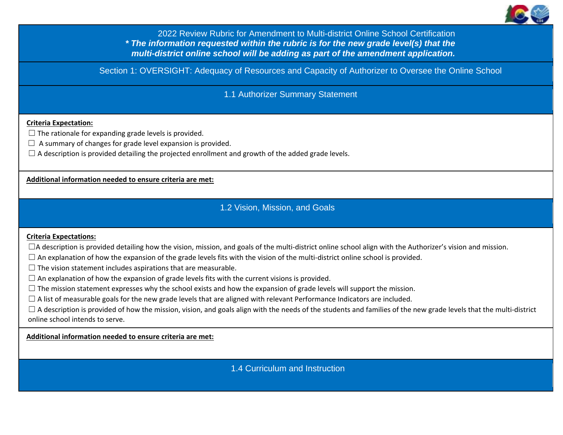

2022 Review Rubric for Amendment to Multi-district Online School Certification  *\* The information requested within the rubric is for the new grade level(s) that the multi-district online school will be adding as part of the amendment application.*

Section 1: OVERSIGHT: Adequacy of Resources and Capacity of Authorizer to Oversee the Online School

1.1 Authorizer Summary Statement

### **Criteria Expectation:**

- $\Box$  The rationale for expanding grade levels is provided.
- $\Box$  A summary of changes for grade level expansion is provided.
- $\Box$  A description is provided detailing the projected enrollment and growth of the added grade levels.

**Additional information needed to ensure criteria are met:**

# 1.2 Vision, Mission, and Goals

#### **Criteria Expectations:**

- $\Box$ A description is provided detailing how the vision, mission, and goals of the multi-district online school align with the Authorizer's vision and mission.
- $\Box$  An explanation of how the expansion of the grade levels fits with the vision of the multi-district online school is provided.
- $\Box$  The vision statement includes aspirations that are measurable.
- $\Box$  An explanation of how the expansion of grade levels fits with the current visions is provided.
- $\square$  The mission statement expresses why the school exists and how the expansion of grade levels will support the mission.
- $\Box$  A list of measurable goals for the new grade levels that are aligned with relevant Performance Indicators are included.
- $\Box$  A description is provided of how the mission, vision, and goals align with the needs of the students and families of the new grade levels that the multi-district online school intends to serve.

**Additional information needed to ensure criteria are met:**

1.4 Curriculum and Instruction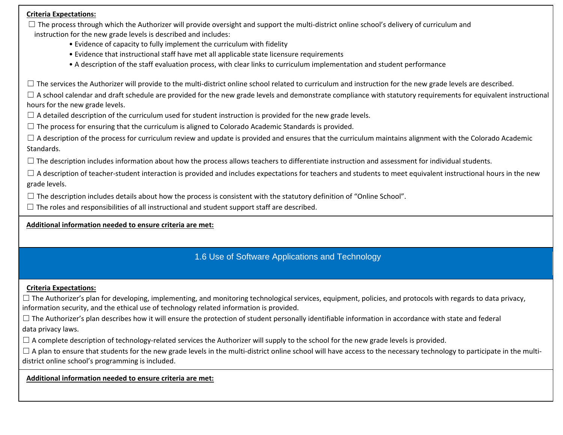$\Box$  The process through which the Authorizer will provide oversight and support the multi-district online school's delivery of curriculum and instruction for the new grade levels is described and includes:

- Evidence of capacity to fully implement the curriculum with fidelity
- Evidence that instructional staff have met all applicable state licensure requirements
- A description of the staff evaluation process, with clear links to curriculum implementation and student performance

 $\Box$  The services the Authorizer will provide to the multi-district online school related to curriculum and instruction for the new grade levels are described.

 $\Box$  A school calendar and draft schedule are provided for the new grade levels and demonstrate compliance with statutory requirements for equivalent instructional hours for the new grade levels.

 $\Box$  A detailed description of the curriculum used for student instruction is provided for the new grade levels.

 $\Box$  The process for ensuring that the curriculum is aligned to Colorado Academic Standards is provided.

 $\Box$  A description of the process for curriculum review and update is provided and ensures that the curriculum maintains alignment with the Colorado Academic Standards.

 $\Box$  The description includes information about how the process allows teachers to differentiate instruction and assessment for individual students.

 $\Box$  A description of teacher-student interaction is provided and includes expectations for teachers and students to meet equivalent instructional hours in the new grade levels.

 $\Box$  The description includes details about how the process is consistent with the statutory definition of "Online School".

 $\Box$  The roles and responsibilities of all instructional and student support staff are described.

**Additional information needed to ensure criteria are met:**

# 1.6 Use of Software Applications and Technology

# **Criteria Expectations:**

 $\Box$  The Authorizer's plan for developing, implementing, and monitoring technological services, equipment, policies, and protocols with regards to data privacy, information security, and the ethical use of technology related information is provided.

 $\Box$  The Authorizer's plan describes how it will ensure the protection of student personally identifiable information in accordance with state and federal data privacy laws.

 $\Box$  A complete description of technology-related services the Authorizer will supply to the school for the new grade levels is provided.

 $\Box$  A plan to ensure that students for the new grade levels in the multi-district online school will have access to the necessary technology to participate in the multidistrict online school's programming is included.

**Additional information needed to ensure criteria are met:**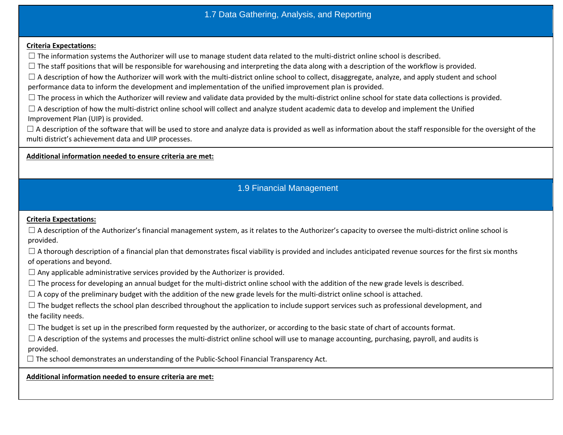# 1.7 Data Gathering, Analysis, and Reporting

#### **Criteria Expectations:**

 $\Box$  The information systems the Authorizer will use to manage student data related to the multi-district online school is described.

 $\Box$  The staff positions that will be responsible for warehousing and interpreting the data along with a description of the workflow is provided.

 $\Box$  A description of how the Authorizer will work with the multi-district online school to collect, disaggregate, analyze, and apply student and school performance data to inform the development and implementation of the unified improvement plan is provided.

 $\Box$  The process in which the Authorizer will review and validate data provided by the multi-district online school for state data collections is provided.

 $\Box$  A description of how the multi-district online school will collect and analyze student academic data to develop and implement the Unified Improvement Plan (UIP) is provided.

 $\Box$  A description of the software that will be used to store and analyze data is provided as well as information about the staff responsible for the oversight of the multi district's achievement data and UIP processes.

### **Additional information needed to ensure criteria are met:**

# 1.9 Financial Management

## **Criteria Expectations:**

 $\Box$  A description of the Authorizer's financial management system, as it relates to the Authorizer's capacity to oversee the multi-district online school is provided.

 $\Box$  A thorough description of a financial plan that demonstrates fiscal viability is provided and includes anticipated revenue sources for the first six months of operations and beyond.

 $\Box$  Any applicable administrative services provided by the Authorizer is provided.

 $\Box$  The process for developing an annual budget for the multi-district online school with the addition of the new grade levels is described.

 $\Box$  A copy of the preliminary budget with the addition of the new grade levels for the multi-district online school is attached.

 $\Box$  The budget reflects the school plan described throughout the application to include support services such as professional development, and the facility needs.

 $\Box$  The budget is set up in the prescribed form requested by the authorizer, or according to the basic state of chart of accounts format.

 $\Box$  A description of the systems and processes the multi-district online school will use to manage accounting, purchasing, payroll, and audits is provided.

 $\Box$  The school demonstrates an understanding of the Public-School Financial Transparency Act.

**Additional information needed to ensure criteria are met:**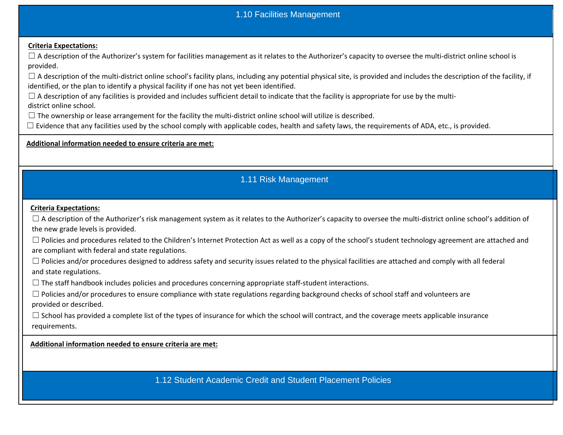# 1.10 Facilities Management

## **Criteria Expectations:**

 $\Box$  A description of the Authorizer's system for facilities management as it relates to the Authorizer's capacity to oversee the multi-district online school is provided.

 $\Box$  A description of the multi-district online school's facility plans, including any potential physical site, is provided and includes the description of the facility, if identified, or the plan to identify a physical facility if one has not yet been identified.

 $\Box$  A description of any facilities is provided and includes sufficient detail to indicate that the facility is appropriate for use by the multidistrict online school.

 $\Box$  The ownership or lease arrangement for the facility the multi-district online school will utilize is described.

 $\Box$  Evidence that any facilities used by the school comply with applicable codes, health and safety laws, the requirements of ADA, etc., is provided.

### **Additional information needed to ensure criteria are met:**

# 1.11 Risk Management

### **Criteria Expectations:**

 $\Box$  A description of the Authorizer's risk management system as it relates to the Authorizer's capacity to oversee the multi-district online school's addition of the new grade levels is provided.

□ Policies and procedures related to the Children's Internet Protection Act as well as a copy of the school's student technology agreement are attached and are compliant with federal and state regulations.

 $\Box$  Policies and/or procedures designed to address safety and security issues related to the physical facilities are attached and comply with all federal and state regulations.

 $\Box$  The staff handbook includes policies and procedures concerning appropriate staff-student interactions.

□ Policies and/or procedures to ensure compliance with state regulations regarding background checks of school staff and volunteers are provided or described.

 $\Box$  School has provided a complete list of the types of insurance for which the school will contract, and the coverage meets applicable insurance requirements.

**Additional information needed to ensure criteria are met:**

1.12 Student Academic Credit and Student Placement Policies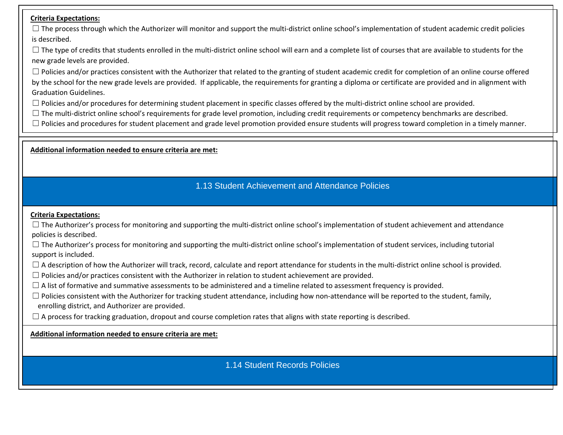$\Box$  The process through which the Authorizer will monitor and support the multi-district online school's implementation of student academic credit policies is described.

 $\Box$  The type of credits that students enrolled in the multi-district online school will earn and a complete list of courses that are available to students for the new grade levels are provided.

 $\Box$  Policies and/or practices consistent with the Authorizer that related to the granting of student academic credit for completion of an online course offered by the school for the new grade levels are provided. If applicable, the requirements for granting a diploma or certificate are provided and in alignment with Graduation Guidelines.

 $\Box$  Policies and/or procedures for determining student placement in specific classes offered by the multi-district online school are provided.

 $\Box$  The multi-district online school's requirements for grade level promotion, including credit requirements or competency benchmarks are described.

 $\Box$  Policies and procedures for student placement and grade level promotion provided ensure students will progress toward completion in a timely manner.

**Additional information needed to ensure criteria are met:**

# 1.13 Student Achievement and Attendance Policies

## **Criteria Expectations:**

 $\Box$  The Authorizer's process for monitoring and supporting the multi-district online school's implementation of student achievement and attendance policies is described.

 $\Box$  The Authorizer's process for monitoring and supporting the multi-district online school's implementation of student services, including tutorial support is included.

 $\Box$  A description of how the Authorizer will track, record, calculate and report attendance for students in the multi-district online school is provided.

 $\Box$  Policies and/or practices consistent with the Authorizer in relation to student achievement are provided.

 $\Box$  A list of formative and summative assessments to be administered and a timeline related to assessment frequency is provided.

 $\Box$  Policies consistent with the Authorizer for tracking student attendance, including how non-attendance will be reported to the student, family, enrolling district, and Authorizer are provided.

 $\Box$  A process for tracking graduation, dropout and course completion rates that aligns with state reporting is described.

**Additional information needed to ensure criteria are met:**

1.14 Student Records Policies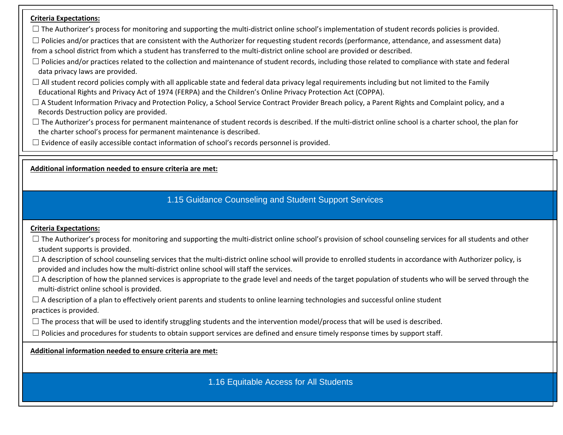$\Box$  The Authorizer's process for monitoring and supporting the multi-district online school's implementation of student records policies is provided.

 $\Box$  Policies and/or practices that are consistent with the Authorizer for requesting student records (performance, attendance, and assessment data) from a school district from which a student has transferred to the multi-district online school are provided or described.

- $\Box$  Policies and/or practices related to the collection and maintenance of student records, including those related to compliance with state and federal data privacy laws are provided.
- $\Box$  All student record policies comply with all applicable state and federal data privacy legal requirements including but not limited to the Family Educational Rights and Privacy Act of 1974 (FERPA) and the Children's Online Privacy Protection Act (COPPA).
- □ A Student Information Privacy and Protection Policy, a School Service Contract Provider Breach policy, a Parent Rights and Complaint policy, and a Records Destruction policy are provided.
- $\Box$  The Authorizer's process for permanent maintenance of student records is described. If the multi-district online school is a charter school, the plan for the charter school's process for permanent maintenance is described.
- $\Box$  Evidence of easily accessible contact information of school's records personnel is provided.

**Additional information needed to ensure criteria are met:**

# 1.15 Guidance Counseling and Student Support Services

# **Criteria Expectations:**

- $\Box$  The Authorizer's process for monitoring and supporting the multi-district online school's provision of school counseling services for all students and other student supports is provided.
- $\Box$  A description of school counseling services that the multi-district online school will provide to enrolled students in accordance with Authorizer policy, is provided and includes how the multi-district online school will staff the services.
- $\Box$  A description of how the planned services is appropriate to the grade level and needs of the target population of students who will be served through the multi-district online school is provided.
- $\Box$  A description of a plan to effectively orient parents and students to online learning technologies and successful online student practices is provided.
- $\Box$  The process that will be used to identify struggling students and the intervention model/process that will be used is described.
- $\Box$  Policies and procedures for students to obtain support services are defined and ensure timely response times by support staff.

**Additional information needed to ensure criteria are met:**

1.16 Equitable Access for All Students